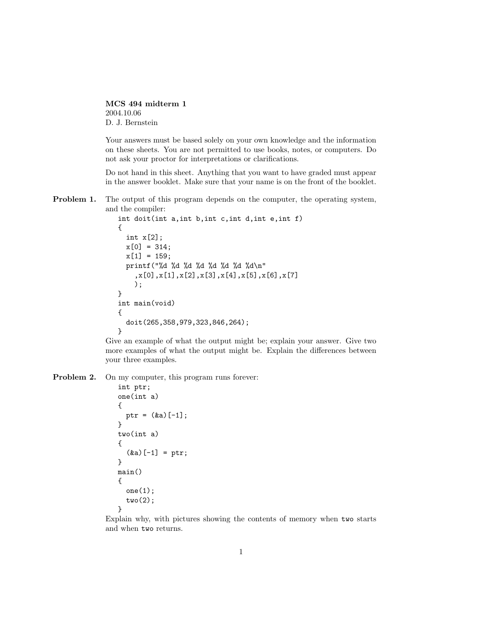MCS 494 midterm 1 2004.10.06 D. J. Bernstein

Your answers must be based solely on your own knowledge and the information on these sheets. You are not permitted to use books, notes, or computers. Do not ask your proctor for interpretations or clarifications.

Do not hand in this sheet. Anything that you want to have graded must appear in the answer booklet. Make sure that your name is on the front of the booklet.

**Problem 1.** The output of this program depends on the computer, the operating system, and the compiler:

```
int doit(int a,int b,int c,int d,int e,int f)
{
  int x[2];
 x[0] = 314;x[1] = 159;printf("%d %d %d %d %d %d %d %d\n"
    ,x[0],x[1],x[2],x[3],x[4],x[5],x[6],x[7]
    );
}
int main(void)
{
  doit(265,358,979,323,846,264);
}
```
Give an example of what the output might be; explain your answer. Give two more examples of what the output might be. Explain the differences between your three examples.

Problem 2. On my computer, this program runs forever:

```
int ptr;
one(int a)
{
  ptr = (ka)[-1];
}
two(int a)
{
  (ka)[-1] = ptr;
}
main()
{
  one(1);
  two(2);
}
```
Explain why, with pictures showing the contents of memory when two starts and when two returns.